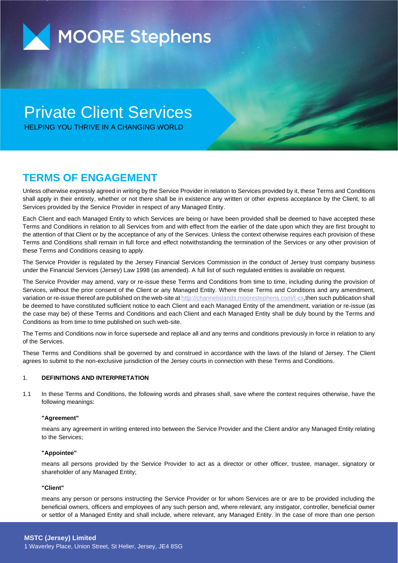

# Private Client Services

HELPING YOU THRIVE IN A CHANGING WORLD

### **TERMS OF ENGAGEMENT**

Unless otherwise expressly agreed in writing by the Service Provider in relation to Services provided by it, these Terms and Conditions shall apply in their entirety, whether or not there shall be in existence any written or other express acceptance by the Client, to all Services provided by the Service Provider in respect of any Managed Entity.

Each Client and each Managed Entity to which Services are being or have been provided shall be deemed to have accepted these Terms and Conditions in relation to all Services from and with effect from the earlier of the date upon which they are first brought to the attention of that Client or by the acceptance of any of the Services. Unless the context otherwise requires each provision of these Terms and Conditions shall remain in full force and effect notwithstanding the termination of the Services or any other provision of these Terms and Conditions ceasing to apply.

The Service Provider is regulated by the Jersey Financial Services Commission in the conduct of Jersey trust company business under the Financial Services (Jersey) Law 1998 (as amended). A full list of such regulated entities is available on request.

The Service Provider may amend, vary or re-issue these Terms and Conditions from time to time, including during the provision of Services, without the prior consent of the Client or any Managed Entity. Where these Terms and Conditions and any amendment, variation or re-issue thereof are published on the web-site a[t http://channelislands.moorestephens.com/t-cs,](http://channelislands.moorestephens.com/t-cs)then such publication shall be deemed to have constituted sufficient notice to each Client and each Managed Entity of the amendment, variation or re-issue (as the case may be) of these Terms and Conditions and each Client and each Managed Entity shall be duly bound by the Terms and Conditions as from time to time published on such web-site.

The Terms and Conditions now in force supersede and replace all and any terms and conditions previously in force in relation to any of the Services.

These Terms and Conditions shall be governed by and construed in accordance with the laws of the Island of Jersey. The Client agrees to submit to the non-exclusive jurisdiction of the Jersey courts in connection with these Terms and Conditions.

### 1. **DEFINITIONS AND INTERPRETATION**

1.1 In these Terms and Conditions, the following words and phrases shall, save where the context requires otherwise, have the following meanings:

#### **"Agreement"**

means any agreement in writing entered into between the Service Provider and the Client and/or any Managed Entity relating to the Services;

#### **"Appointee"**

means all persons provided by the Service Provider to act as a director or other officer, trustee, manager, signatory or shareholder of any Managed Entity;

#### **"Client"**

means any person or persons instructing the Service Provider or for whom Services are or are to be provided including the beneficial owners, officers and employees of any such person and, where relevant, any instigator, controller, beneficial owner or settlor of a Managed Entity and shall include, where relevant, any Managed Entity. In the case of more than one person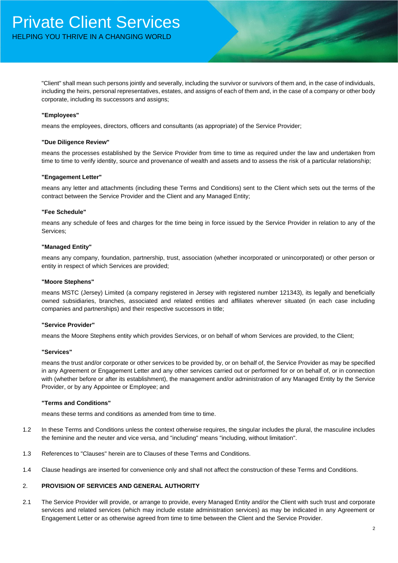"Client" shall mean such persons jointly and severally, including the survivor or survivors of them and, in the case of individuals, including the heirs, personal representatives, estates, and assigns of each of them and, in the case of a company or other body corporate, including its successors and assigns;

#### **"Employees"**

means the employees, directors, officers and consultants (as appropriate) of the Service Provider;

#### **"Due Diligence Review"**

means the processes established by the Service Provider from time to time as required under the law and undertaken from time to time to verify identity, source and provenance of wealth and assets and to assess the risk of a particular relationship;

#### **"Engagement Letter"**

means any letter and attachments (including these Terms and Conditions) sent to the Client which sets out the terms of the contract between the Service Provider and the Client and any Managed Entity;

#### **"Fee Schedule"**

means any schedule of fees and charges for the time being in force issued by the Service Provider in relation to any of the Services;

#### **"Managed Entity"**

means any company, foundation, partnership, trust, association (whether incorporated or unincorporated) or other person or entity in respect of which Services are provided;

#### **"Moore Stephens"**

means MSTC (Jersey) Limited (a company registered in Jersey with registered number 121343), its legally and beneficially owned subsidiaries, branches, associated and related entities and affiliates wherever situated (in each case including companies and partnerships) and their respective successors in title;

#### **"Service Provider"**

means the Moore Stephens entity which provides Services, or on behalf of whom Services are provided, to the Client;

#### **"Services"**

means the trust and/or corporate or other services to be provided by, or on behalf of, the Service Provider as may be specified in any Agreement or Engagement Letter and any other services carried out or performed for or on behalf of, or in connection with (whether before or after its establishment), the management and/or administration of any Managed Entity by the Service Provider, or by any Appointee or Employee; and

#### **"Terms and Conditions"**

means these terms and conditions as amended from time to time.

- 1.2 In these Terms and Conditions unless the context otherwise requires, the singular includes the plural, the masculine includes the feminine and the neuter and vice versa, and "including" means "including, without limitation".
- 1.3 References to "Clauses" herein are to Clauses of these Terms and Conditions.
- 1.4 Clause headings are inserted for convenience only and shall not affect the construction of these Terms and Conditions.

#### 2. **PROVISION OF SERVICES AND GENERAL AUTHORITY**

2.1 The Service Provider will provide, or arrange to provide, every Managed Entity and/or the Client with such trust and corporate services and related services (which may include estate administration services) as may be indicated in any Agreement or Engagement Letter or as otherwise agreed from time to time between the Client and the Service Provider.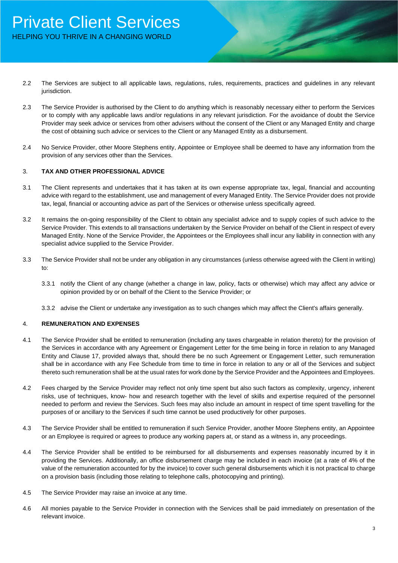- 2.2 The Services are subject to all applicable laws, regulations, rules, requirements, practices and guidelines in any relevant jurisdiction.
- 2.3 The Service Provider is authorised by the Client to do anything which is reasonably necessary either to perform the Services or to comply with any applicable laws and/or regulations in any relevant jurisdiction. For the avoidance of doubt the Service Provider may seek advice or services from other advisers without the consent of the Client or any Managed Entity and charge the cost of obtaining such advice or services to the Client or any Managed Entity as a disbursement.
- 2.4 No Service Provider, other Moore Stephens entity, Appointee or Employee shall be deemed to have any information from the provision of any services other than the Services.

#### 3. **TAX AND OTHER PROFESSIONAL ADVICE**

- 3.1 The Client represents and undertakes that it has taken at its own expense appropriate tax, legal, financial and accounting advice with regard to the establishment, use and management of every Managed Entity. The Service Provider does not provide tax, legal, financial or accounting advice as part of the Services or otherwise unless specifically agreed.
- 3.2 It remains the on-going responsibility of the Client to obtain any specialist advice and to supply copies of such advice to the Service Provider. This extends to all transactions undertaken by the Service Provider on behalf of the Client in respect of every Managed Entity. None of the Service Provider, the Appointees or the Employees shall incur any liability in connection with any specialist advice supplied to the Service Provider.
- 3.3 The Service Provider shall not be under any obligation in any circumstances (unless otherwise agreed with the Client in writing) to:
	- 3.3.1 notify the Client of any change (whether a change in law, policy, facts or otherwise) which may affect any advice or opinion provided by or on behalf of the Client to the Service Provider; or
	- 3.3.2 advise the Client or undertake any investigation as to such changes which may affect the Client's affairs generally.

#### 4. **REMUNERATION AND EXPENSES**

- 4.1 The Service Provider shall be entitled to remuneration (including any taxes chargeable in relation thereto) for the provision of the Services in accordance with any Agreement or Engagement Letter for the time being in force in relation to any Managed Entity and Clause 17, provided always that, should there be no such Agreement or Engagement Letter, such remuneration shall be in accordance with any Fee Schedule from time to time in force in relation to any or all of the Services and subject thereto such remuneration shall be at the usual rates for work done by the Service Provider and the Appointees and Employees.
- 4.2 Fees charged by the Service Provider may reflect not only time spent but also such factors as complexity, urgency, inherent risks, use of techniques, know- how and research together with the level of skills and expertise required of the personnel needed to perform and review the Services. Such fees may also include an amount in respect of time spent travelling for the purposes of or ancillary to the Services if such time cannot be used productively for other purposes.
- 4.3 The Service Provider shall be entitled to remuneration if such Service Provider, another Moore Stephens entity, an Appointee or an Employee is required or agrees to produce any working papers at, or stand as a witness in, any proceedings.
- 4.4 The Service Provider shall be entitled to be reimbursed for all disbursements and expenses reasonably incurred by it in providing the Services. Additionally, an office disbursement charge may be included in each invoice (at a rate of 4% of the value of the remuneration accounted for by the invoice) to cover such general disbursements which it is not practical to charge on a provision basis (including those relating to telephone calls, photocopying and printing).
- 4.5 The Service Provider may raise an invoice at any time.
- 4.6 All monies payable to the Service Provider in connection with the Services shall be paid immediately on presentation of the relevant invoice.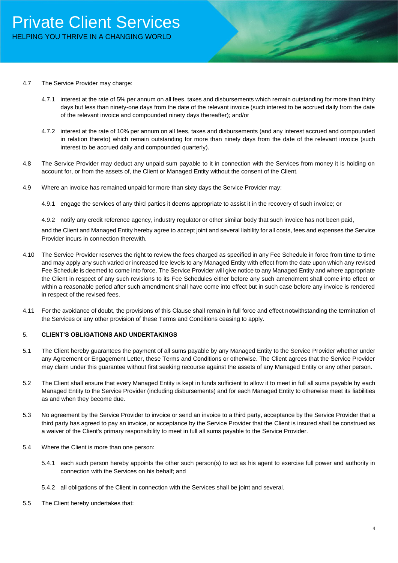- 4.7 The Service Provider may charge:
	- 4.7.1 interest at the rate of 5% per annum on all fees, taxes and disbursements which remain outstanding for more than thirty days but less than ninety-one days from the date of the relevant invoice (such interest to be accrued daily from the date of the relevant invoice and compounded ninety days thereafter); and/or
	- 4.7.2 interest at the rate of 10% per annum on all fees, taxes and disbursements (and any interest accrued and compounded in relation thereto) which remain outstanding for more than ninety days from the date of the relevant invoice (such interest to be accrued daily and compounded quarterly).
- 4.8 The Service Provider may deduct any unpaid sum payable to it in connection with the Services from money it is holding on account for, or from the assets of, the Client or Managed Entity without the consent of the Client.
- 4.9 Where an invoice has remained unpaid for more than sixty days the Service Provider may:
	- 4.9.1 engage the services of any third parties it deems appropriate to assist it in the recovery of such invoice; or

4.9.2 notify any credit reference agency, industry regulator or other similar body that such invoice has not been paid,

and the Client and Managed Entity hereby agree to accept joint and several liability for all costs, fees and expenses the Service Provider incurs in connection therewith.

- 4.10 The Service Provider reserves the right to review the fees charged as specified in any Fee Schedule in force from time to time and may apply any such varied or increased fee levels to any Managed Entity with effect from the date upon which any revised Fee Schedule is deemed to come into force. The Service Provider will give notice to any Managed Entity and where appropriate the Client in respect of any such revisions to its Fee Schedules either before any such amendment shall come into effect or within a reasonable period after such amendment shall have come into effect but in such case before any invoice is rendered in respect of the revised fees.
- 4.11 For the avoidance of doubt, the provisions of this Clause shall remain in full force and effect notwithstanding the termination of the Services or any other provision of these Terms and Conditions ceasing to apply.

#### 5. **CLIENT'S OBLIGATIONS AND UNDERTAKINGS**

- 5.1 The Client hereby guarantees the payment of all sums payable by any Managed Entity to the Service Provider whether under any Agreement or Engagement Letter, these Terms and Conditions or otherwise. The Client agrees that the Service Provider may claim under this guarantee without first seeking recourse against the assets of any Managed Entity or any other person.
- 5.2 The Client shall ensure that every Managed Entity is kept in funds sufficient to allow it to meet in full all sums payable by each Managed Entity to the Service Provider (including disbursements) and for each Managed Entity to otherwise meet its liabilities as and when they become due.
- 5.3 No agreement by the Service Provider to invoice or send an invoice to a third party, acceptance by the Service Provider that a third party has agreed to pay an invoice, or acceptance by the Service Provider that the Client is insured shall be construed as a waiver of the Client's primary responsibility to meet in full all sums payable to the Service Provider.
- 5.4 Where the Client is more than one person:
	- 5.4.1 each such person hereby appoints the other such person(s) to act as his agent to exercise full power and authority in connection with the Services on his behalf; and
	- 5.4.2 all obligations of the Client in connection with the Services shall be joint and several.
- 5.5 The Client hereby undertakes that: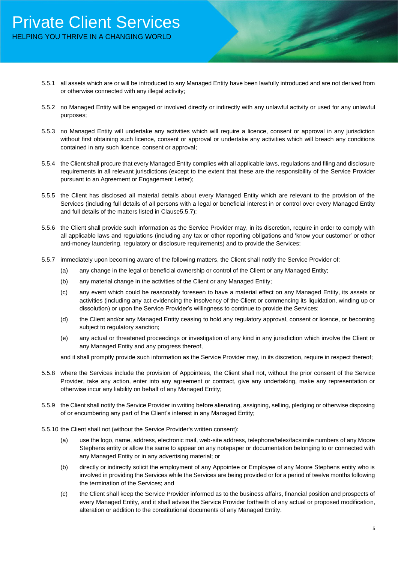### Private Client Services HELPING YOU THRIVE IN A CHANGING WORLD

- 5.5.1 all assets which are or will be introduced to any Managed Entity have been lawfully introduced and are not derived from or otherwise connected with any illegal activity;
- 5.5.2 no Managed Entity will be engaged or involved directly or indirectly with any unlawful activity or used for any unlawful purposes;
- 5.5.3 no Managed Entity will undertake any activities which will require a licence, consent or approval in any jurisdiction without first obtaining such licence, consent or approval or undertake any activities which will breach any conditions contained in any such licence, consent or approval;
- 5.5.4 the Client shall procure that every Managed Entity complies with all applicable laws, regulations and filing and disclosure requirements in all relevant jurisdictions (except to the extent that these are the responsibility of the Service Provider pursuant to an Agreement or Engagement Letter);
- 5.5.5 the Client has disclosed all material details about every Managed Entity which are relevant to the provision of the Services (including full details of all persons with a legal or beneficial interest in or control over every Managed Entity and full details of the matters listed in Clause5.5.7);
- 5.5.6 the Client shall provide such information as the Service Provider may, in its discretion, require in order to comply with all applicable laws and regulations (including any tax or other reporting obligations and 'know your customer' or other anti-money laundering, regulatory or disclosure requirements) and to provide the Services;
- 5.5.7 immediately upon becoming aware of the following matters, the Client shall notify the Service Provider of:
	- (a) any change in the legal or beneficial ownership or control of the Client or any Managed Entity;
	- (b) any material change in the activities of the Client or any Managed Entity;
	- (c) any event which could be reasonably foreseen to have a material effect on any Managed Entity, its assets or activities (including any act evidencing the insolvency of the Client or commencing its liquidation, winding up or dissolution) or upon the Service Provider's willingness to continue to provide the Services;
	- (d) the Client and/or any Managed Entity ceasing to hold any regulatory approval, consent or licence, or becoming subject to regulatory sanction;
	- (e) any actual or threatened proceedings or investigation of any kind in any jurisdiction which involve the Client or any Managed Entity and any progress thereof,

and it shall promptly provide such information as the Service Provider may, in its discretion, require in respect thereof;

- 5.5.8 where the Services include the provision of Appointees, the Client shall not, without the prior consent of the Service Provider, take any action, enter into any agreement or contract, give any undertaking, make any representation or otherwise incur any liability on behalf of any Managed Entity;
- 5.5.9 the Client shall notify the Service Provider in writing before alienating, assigning, selling, pledging or otherwise disposing of or encumbering any part of the Client's interest in any Managed Entity;
- 5.5.10 the Client shall not (without the Service Provider's written consent):
	- (a) use the logo, name, address, electronic mail, web-site address, telephone/telex/facsimile numbers of any Moore Stephens entity or allow the same to appear on any notepaper or documentation belonging to or connected with any Managed Entity or in any advertising material; or
	- (b) directly or indirectly solicit the employment of any Appointee or Employee of any Moore Stephens entity who is involved in providing the Services while the Services are being provided or for a period of twelve months following the termination of the Services; and
	- (c) the Client shall keep the Service Provider informed as to the business affairs, financial position and prospects of every Managed Entity, and it shall advise the Service Provider forthwith of any actual or proposed modification, alteration or addition to the constitutional documents of any Managed Entity.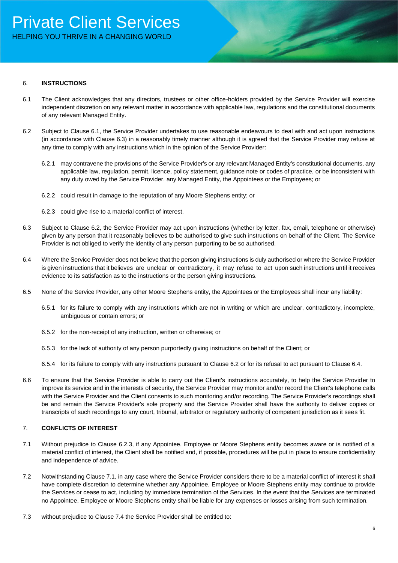#### 6. **INSTRUCTIONS**

- 6.1 The Client acknowledges that any directors, trustees or other office-holders provided by the Service Provider will exercise independent discretion on any relevant matter in accordance with applicable law, regulations and the constitutional documents of any relevant Managed Entity.
- 6.2 Subject to Clause 6.1, the Service Provider undertakes to use reasonable endeavours to deal with and act upon instructions (in accordance with Clause 6.3) in a reasonably timely manner although it is agreed that the Service Provider may refuse at any time to comply with any instructions which in the opinion of the Service Provider:
	- 6.2.1 may contravene the provisions of the Service Provider's or any relevant Managed Entity's constitutional documents, any applicable law, regulation, permit, licence, policy statement, guidance note or codes of practice, or be inconsistent with any duty owed by the Service Provider, any Managed Entity, the Appointees or the Employees; or
	- 6.2.2 could result in damage to the reputation of any Moore Stephens entity; or
	- 6.2.3 could give rise to a material conflict of interest.
- 6.3 Subject to Clause 6.2, the Service Provider may act upon instructions (whether by letter, fax, email, telephone or otherwise) given by any person that it reasonably believes to be authorised to give such instructions on behalf of the Client. The Service Provider is not obliged to verify the identity of any person purporting to be so authorised.
- 6.4 Where the Service Provider does not believe that the person giving instructions is duly authorised or where the Service Provider is given instructions that it believes are unclear or contradictory, it may refuse to act upon such instructions until it receives evidence to its satisfaction as to the instructions or the person giving instructions.
- 6.5 None of the Service Provider, any other Moore Stephens entity, the Appointees or the Employees shall incur any liability:
	- 6.5.1 for its failure to comply with any instructions which are not in writing or which are unclear, contradictory, incomplete, ambiguous or contain errors; or
	- 6.5.2 for the non-receipt of any instruction, written or otherwise; or
	- 6.5.3 for the lack of authority of any person purportedly giving instructions on behalf of the Client; or
	- 6.5.4 for its failure to comply with any instructions pursuant to Clause 6.2 or for its refusal to act pursuant to Clause 6.4.
- 6.6 To ensure that the Service Provider is able to carry out the Client's instructions accurately, to help the Service Provider to improve its service and in the interests of security, the Service Provider may monitor and/or record the Client's telephone calls with the Service Provider and the Client consents to such monitoring and/or recording. The Service Provider's recordings shall be and remain the Service Provider's sole property and the Service Provider shall have the authority to deliver copies or transcripts of such recordings to any court, tribunal, arbitrator or regulatory authority of competent jurisdiction as it sees fit.

#### 7. **CONFLICTS OF INTEREST**

- 7.1 Without prejudice to Clause 6.2.3, if any Appointee, Employee or Moore Stephens entity becomes aware or is notified of a material conflict of interest, the Client shall be notified and, if possible, procedures will be put in place to ensure confidentiality and independence of advice.
- 7.2 Notwithstanding Clause 7.1, in any case where the Service Provider considers there to be a material conflict of interest it shall have complete discretion to determine whether any Appointee, Employee or Moore Stephens entity may continue to provide the Services or cease to act, including by immediate termination of the Services. In the event that the Services are terminated no Appointee, Employee or Moore Stephens entity shall be liable for any expenses or losses arising from such termination.
- 7.3 without prejudice to Clause 7.4 the Service Provider shall be entitled to: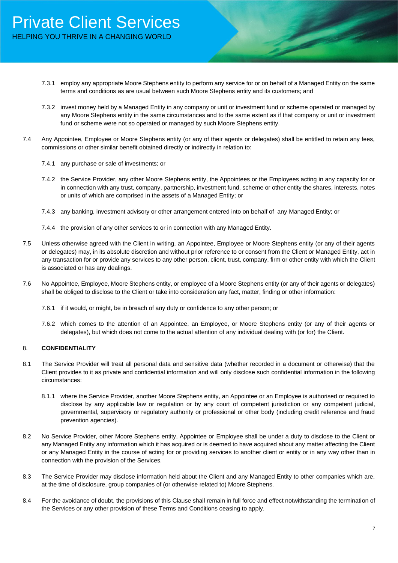- 7.3.1 employ any appropriate Moore Stephens entity to perform any service for or on behalf of a Managed Entity on the same terms and conditions as are usual between such Moore Stephens entity and its customers; and
- 7.3.2 invest money held by a Managed Entity in any company or unit or investment fund or scheme operated or managed by any Moore Stephens entity in the same circumstances and to the same extent as if that company or unit or investment fund or scheme were not so operated or managed by such Moore Stephens entity.
- 7.4 Any Appointee, Employee or Moore Stephens entity (or any of their agents or delegates) shall be entitled to retain any fees, commissions or other similar benefit obtained directly or indirectly in relation to:
	- 7.4.1 any purchase or sale of investments; or
	- 7.4.2 the Service Provider, any other Moore Stephens entity, the Appointees or the Employees acting in any capacity for or in connection with any trust, company, partnership, investment fund, scheme or other entity the shares, interests, notes or units of which are comprised in the assets of a Managed Entity; or
	- 7.4.3 any banking, investment advisory or other arrangement entered into on behalf of any Managed Entity; or
	- 7.4.4 the provision of any other services to or in connection with any Managed Entity.
- 7.5 Unless otherwise agreed with the Client in writing, an Appointee, Employee or Moore Stephens entity (or any of their agents or delegates) may, in its absolute discretion and without prior reference to or consent from the Client or Managed Entity, act in any transaction for or provide any services to any other person, client, trust, company, firm or other entity with which the Client is associated or has any dealings.
- 7.6 No Appointee, Employee, Moore Stephens entity, or employee of a Moore Stephens entity (or any of their agents or delegates) shall be obliged to disclose to the Client or take into consideration any fact, matter, finding or other information:
	- 7.6.1 if it would, or might, be in breach of any duty or confidence to any other person; or
	- 7.6.2 which comes to the attention of an Appointee, an Employee, or Moore Stephens entity (or any of their agents or delegates), but which does not come to the actual attention of any individual dealing with (or for) the Client.

#### 8. **CONFIDENTIALITY**

- 8.1 The Service Provider will treat all personal data and sensitive data (whether recorded in a document or otherwise) that the Client provides to it as private and confidential information and will only disclose such confidential information in the following circumstances:
	- 8.1.1 where the Service Provider, another Moore Stephens entity, an Appointee or an Employee is authorised or required to disclose by any applicable law or regulation or by any court of competent jurisdiction or any competent judicial, governmental, supervisory or regulatory authority or professional or other body (including credit reference and fraud prevention agencies).
- 8.2 No Service Provider, other Moore Stephens entity, Appointee or Employee shall be under a duty to disclose to the Client or any Managed Entity any information which it has acquired or is deemed to have acquired about any matter affecting the Client or any Managed Entity in the course of acting for or providing services to another client or entity or in any way other than in connection with the provision of the Services.
- 8.3 The Service Provider may disclose information held about the Client and any Managed Entity to other companies which are, at the time of disclosure, group companies of (or otherwise related to) Moore Stephens.
- 8.4 For the avoidance of doubt, the provisions of this Clause shall remain in full force and effect notwithstanding the termination of the Services or any other provision of these Terms and Conditions ceasing to apply.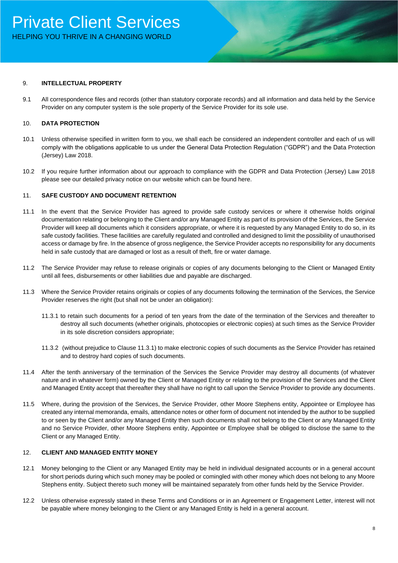#### 9. **INTELLECTUAL PROPERTY**

9.1 All correspondence files and records (other than statutory corporate records) and all information and data held by the Service Provider on any computer system is the sole property of the Service Provider for its sole use.

#### 10. **DATA PROTECTION**

- 10.1 Unless otherwise specified in written form to you, we shall each be considered an independent controller and each of us will comply with the obligations applicable to us under the General Data Protection Regulation ("GDPR") and the Data Protection (Jersey) Law 2018.
- 10.2 If you require further information about our approach to compliance with the GDPR and Data Protection (Jersey) Law 2018 please see our detailed privacy notice on our website which can be found here.

#### 11. **SAFE CUSTODY AND DOCUMENT RETENTION**

- 11.1 In the event that the Service Provider has agreed to provide safe custody services or where it otherwise holds original documentation relating or belonging to the Client and/or any Managed Entity as part of its provision of the Services, the Service Provider will keep all documents which it considers appropriate, or where it is requested by any Managed Entity to do so, in its safe custody facilities. These facilities are carefully regulated and controlled and designed to limit the possibility of unauthorised access or damage by fire. In the absence of gross negligence, the Service Provider accepts no responsibility for any documents held in safe custody that are damaged or lost as a result of theft, fire or water damage.
- 11.2 The Service Provider may refuse to release originals or copies of any documents belonging to the Client or Managed Entity until all fees, disbursements or other liabilities due and payable are discharged.
- 11.3 Where the Service Provider retains originals or copies of any documents following the termination of the Services, the Service Provider reserves the right (but shall not be under an obligation):
	- 11.3.1 to retain such documents for a period of ten years from the date of the termination of the Services and thereafter to destroy all such documents (whether originals, photocopies or electronic copies) at such times as the Service Provider in its sole discretion considers appropriate;
	- 11.3.2 (without prejudice to Clause 11.3.1) to make electronic copies of such documents as the Service Provider has retained and to destroy hard copies of such documents.
- 11.4 After the tenth anniversary of the termination of the Services the Service Provider may destroy all documents (of whatever nature and in whatever form) owned by the Client or Managed Entity or relating to the provision of the Services and the Client and Managed Entity accept that thereafter they shall have no right to call upon the Service Provider to provide any documents.
- 11.5 Where, during the provision of the Services, the Service Provider, other Moore Stephens entity, Appointee or Employee has created any internal memoranda, emails, attendance notes or other form of document not intended by the author to be supplied to or seen by the Client and/or any Managed Entity then such documents shall not belong to the Client or any Managed Entity and no Service Provider, other Moore Stephens entity, Appointee or Employee shall be obliged to disclose the same to the Client or any Managed Entity.

#### 12. **CLIENT AND MANAGED ENTITY MONEY**

- 12.1 Money belonging to the Client or any Managed Entity may be held in individual designated accounts or in a general account for short periods during which such money may be pooled or comingled with other money which does not belong to any Moore Stephens entity. Subject thereto such money will be maintained separately from other funds held by the Service Provider.
- 12.2 Unless otherwise expressly stated in these Terms and Conditions or in an Agreement or Engagement Letter, interest will not be payable where money belonging to the Client or any Managed Entity is held in a general account.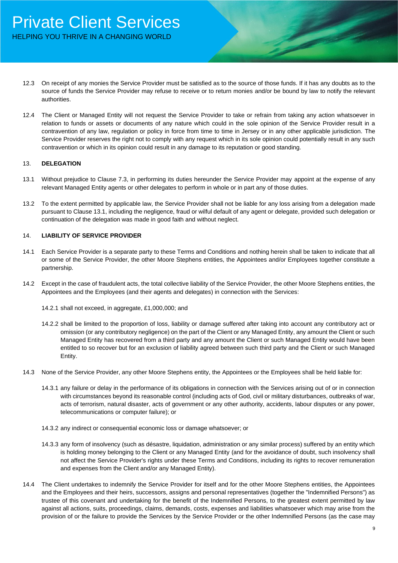- 12.3 On receipt of any monies the Service Provider must be satisfied as to the source of those funds. If it has any doubts as to the source of funds the Service Provider may refuse to receive or to return monies and/or be bound by law to notify the relevant authorities.
- 12.4 The Client or Managed Entity will not request the Service Provider to take or refrain from taking any action whatsoever in relation to funds or assets or documents of any nature which could in the sole opinion of the Service Provider result in a contravention of any law, regulation or policy in force from time to time in Jersey or in any other applicable jurisdiction. The Service Provider reserves the right not to comply with any request which in its sole opinion could potentially result in any such contravention or which in its opinion could result in any damage to its reputation or good standing.

#### 13. **DELEGATION**

- 13.1 Without prejudice to Clause 7.3, in performing its duties hereunder the Service Provider may appoint at the expense of any relevant Managed Entity agents or other delegates to perform in whole or in part any of those duties.
- 13.2 To the extent permitted by applicable law, the Service Provider shall not be liable for any loss arising from a delegation made pursuant to Clause 13.1, including the negligence, fraud or wilful default of any agent or delegate, provided such delegation or continuation of the delegation was made in good faith and without neglect.

#### 14. **LIABILITY OF SERVICE PROVIDER**

- 14.1 Each Service Provider is a separate party to these Terms and Conditions and nothing herein shall be taken to indicate that all or some of the Service Provider, the other Moore Stephens entities, the Appointees and/or Employees together constitute a partnership.
- 14.2 Except in the case of fraudulent acts, the total collective liability of the Service Provider, the other Moore Stephens entities, the Appointees and the Employees (and their agents and delegates) in connection with the Services:
	- 14.2.1 shall not exceed, in aggregate, £1,000,000; and
	- 14.2.2 shall be limited to the proportion of loss, liability or damage suffered after taking into account any contributory act or omission (or any contributory negligence) on the part of the Client or any Managed Entity, any amount the Client or such Managed Entity has recovered from a third party and any amount the Client or such Managed Entity would have been entitled to so recover but for an exclusion of liability agreed between such third party and the Client or such Managed Entity.
- 14.3 None of the Service Provider, any other Moore Stephens entity, the Appointees or the Employees shall be held liable for:
	- 14.3.1 any failure or delay in the performance of its obligations in connection with the Services arising out of or in connection with circumstances beyond its reasonable control (including acts of God, civil or military disturbances, outbreaks of war, acts of terrorism, natural disaster, acts of government or any other authority, accidents, labour disputes or any power, telecommunications or computer failure); or
	- 14.3.2 any indirect or consequential economic loss or damage whatsoever; or
	- 14.3.3 any form of insolvency (such as désastre, liquidation, administration or any similar process) suffered by an entity which is holding money belonging to the Client or any Managed Entity (and for the avoidance of doubt, such insolvency shall not affect the Service Provider's rights under these Terms and Conditions, including its rights to recover remuneration and expenses from the Client and/or any Managed Entity).
- 14.4 The Client undertakes to indemnify the Service Provider for itself and for the other Moore Stephens entities, the Appointees and the Employees and their heirs, successors, assigns and personal representatives (together the "Indemnified Persons") as trustee of this covenant and undertaking for the benefit of the Indemnified Persons, to the greatest extent permitted by law against all actions, suits, proceedings, claims, demands, costs, expenses and liabilities whatsoever which may arise from the provision of or the failure to provide the Services by the Service Provider or the other Indemnified Persons (as the case may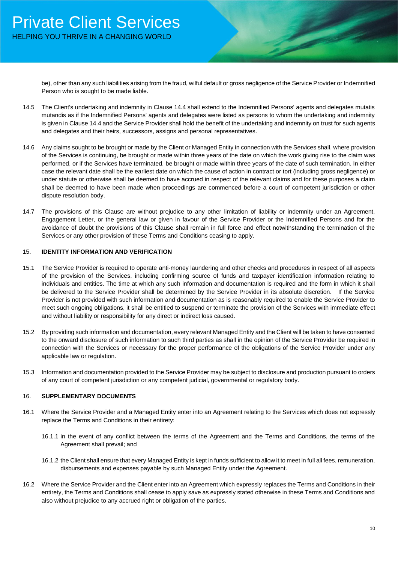be), other than any such liabilities arising from the fraud, wilful default or gross negligence of the Service Provider or Indemnified Person who is sought to be made liable.

- 14.5 The Client's undertaking and indemnity in Clause 14.4 shall extend to the Indemnified Persons' agents and delegates mutatis mutandis as if the Indemnified Persons' agents and delegates were listed as persons to whom the undertaking and indemnity is given in Clause 14.4 and the Service Provider shall hold the benefit of the undertaking and indemnity on trust for such agents and delegates and their heirs, successors, assigns and personal representatives.
- 14.6 Any claims sought to be brought or made by the Client or Managed Entity in connection with the Services shall, where provision of the Services is continuing, be brought or made within three years of the date on which the work giving rise to the claim was performed, or if the Services have terminated, be brought or made within three years of the date of such termination. In either case the relevant date shall be the earliest date on which the cause of action in contract or tort (including gross negligence) or under statute or otherwise shall be deemed to have accrued in respect of the relevant claims and for these purposes a claim shall be deemed to have been made when proceedings are commenced before a court of competent jurisdiction or other dispute resolution body.
- 14.7 The provisions of this Clause are without prejudice to any other limitation of liability or indemnity under an Agreement, Engagement Letter, or the general law or given in favour of the Service Provider or the Indemnified Persons and for the avoidance of doubt the provisions of this Clause shall remain in full force and effect notwithstanding the termination of the Services or any other provision of these Terms and Conditions ceasing to apply.

#### 15. **IDENTITY INFORMATION AND VERIFICATION**

- 15.1 The Service Provider is required to operate anti-money laundering and other checks and procedures in respect of all aspects of the provision of the Services, including confirming source of funds and taxpayer identification information relating to individuals and entities. The time at which any such information and documentation is required and the form in which it shall be delivered to the Service Provider shall be determined by the Service Provider in its absolute discretion. If the Service Provider is not provided with such information and documentation as is reasonably required to enable the Service Provider to meet such ongoing obligations, it shall be entitled to suspend or terminate the provision of the Services with immediate effect and without liability or responsibility for any direct or indirect loss caused.
- 15.2 By providing such information and documentation, every relevant Managed Entity and the Client will be taken to have consented to the onward disclosure of such information to such third parties as shall in the opinion of the Service Provider be required in connection with the Services or necessary for the proper performance of the obligations of the Service Provider under any applicable law or regulation.
- 15.3 Information and documentation provided to the Service Provider may be subject to disclosure and production pursuant to orders of any court of competent jurisdiction or any competent judicial, governmental or regulatory body.

#### 16. **SUPPLEMENTARY DOCUMENTS**

- 16.1 Where the Service Provider and a Managed Entity enter into an Agreement relating to the Services which does not expressly replace the Terms and Conditions in their entirety:
	- 16.1.1 in the event of any conflict between the terms of the Agreement and the Terms and Conditions, the terms of the Agreement shall prevail; and
	- 16.1.2 the Client shall ensure that every Managed Entity is kept in funds sufficient to allow it to meet in full all fees, remuneration, disbursements and expenses payable by such Managed Entity under the Agreement.
- 16.2 Where the Service Provider and the Client enter into an Agreement which expressly replaces the Terms and Conditions in their entirety, the Terms and Conditions shall cease to apply save as expressly stated otherwise in these Terms and Conditions and also without prejudice to any accrued right or obligation of the parties.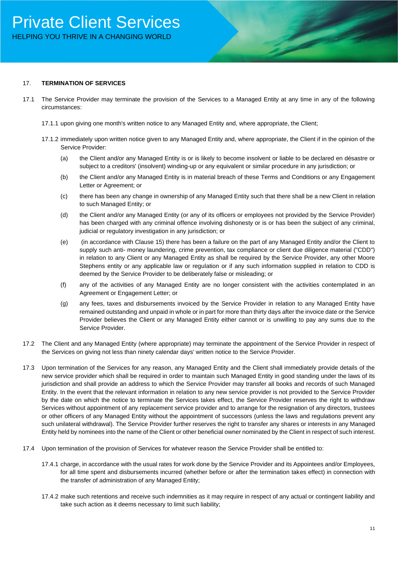## Private Client Services HELPING YOU THRIVE IN A CHANGING WORLD

#### 17. **TERMINATION OF SERVICES**

- 17.1 The Service Provider may terminate the provision of the Services to a Managed Entity at any time in any of the following circumstances:
	- 17.1.1 upon giving one month's written notice to any Managed Entity and, where appropriate, the Client;
	- 17.1.2 immediately upon written notice given to any Managed Entity and, where appropriate, the Client if in the opinion of the Service Provider:
		- (a) the Client and/or any Managed Entity is or is likely to become insolvent or liable to be declared en désastre or subject to a creditors' (insolvent) winding-up or any equivalent or similar procedure in any jurisdiction; or
		- (b) the Client and/or any Managed Entity is in material breach of these Terms and Conditions or any Engagement Letter or Agreement; or
		- (c) there has been any change in ownership of any Managed Entity such that there shall be a new Client in relation to such Managed Entity; or
		- (d) the Client and/or any Managed Entity (or any of its officers or employees not provided by the Service Provider) has been charged with any criminal offence involving dishonesty or is or has been the subject of any criminal, judicial or regulatory investigation in any jurisdiction; or
		- (e) (in accordance with Clause 15) there has been a failure on the part of any Managed Entity and/or the Client to supply such anti- money laundering, crime prevention, tax compliance or client due diligence material ("CDD") in relation to any Client or any Managed Entity as shall be required by the Service Provider, any other Moore Stephens entity or any applicable law or regulation or if any such information supplied in relation to CDD is deemed by the Service Provider to be deliberately false or misleading; or
		- (f) any of the activities of any Managed Entity are no longer consistent with the activities contemplated in an Agreement or Engagement Letter; or
		- (g) any fees, taxes and disbursements invoiced by the Service Provider in relation to any Managed Entity have remained outstanding and unpaid in whole or in part for more than thirty days after the invoice date or the Service Provider believes the Client or any Managed Entity either cannot or is unwilling to pay any sums due to the Service Provider.
- 17.2 The Client and any Managed Entity (where appropriate) may terminate the appointment of the Service Provider in respect of the Services on giving not less than ninety calendar days' written notice to the Service Provider.
- 17.3 Upon termination of the Services for any reason, any Managed Entity and the Client shall immediately provide details of the new service provider which shall be required in order to maintain such Managed Entity in good standing under the laws of its jurisdiction and shall provide an address to which the Service Provider may transfer all books and records of such Managed Entity. In the event that the relevant information in relation to any new service provider is not provided to the Service Provider by the date on which the notice to terminate the Services takes effect, the Service Provider reserves the right to withdraw Services without appointment of any replacement service provider and to arrange for the resignation of any directors, trustees or other officers of any Managed Entity without the appointment of successors (unless the laws and regulations prevent any such unilateral withdrawal). The Service Provider further reserves the right to transfer any shares or interests in any Managed Entity held by nominees into the name of the Client or other beneficial owner nominated by the Client in respect of such interest.
- 17.4 Upon termination of the provision of Services for whatever reason the Service Provider shall be entitled to:
	- 17.4.1 charge, in accordance with the usual rates for work done by the Service Provider and its Appointees and/or Employees, for all time spent and disbursements incurred (whether before or after the termination takes effect) in connection with the transfer of administration of any Managed Entity;
	- 17.4.2 make such retentions and receive such indemnities as it may require in respect of any actual or contingent liability and take such action as it deems necessary to limit such liability;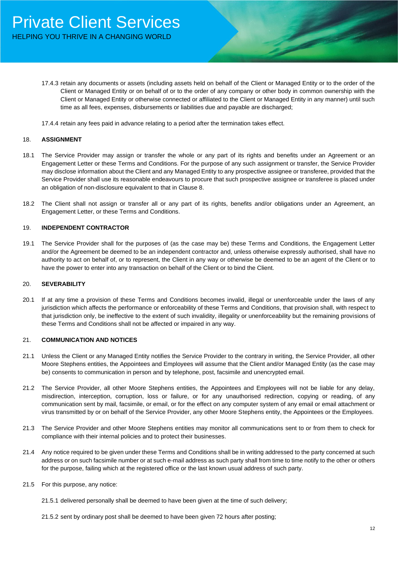- 17.4.3 retain any documents or assets (including assets held on behalf of the Client or Managed Entity or to the order of the Client or Managed Entity or on behalf of or to the order of any company or other body in common ownership with the Client or Managed Entity or otherwise connected or affiliated to the Client or Managed Entity in any manner) until such time as all fees, expenses, disbursements or liabilities due and payable are discharged;
- 17.4.4 retain any fees paid in advance relating to a period after the termination takes effect.

#### 18. **ASSIGNMENT**

- 18.1 The Service Provider may assign or transfer the whole or any part of its rights and benefits under an Agreement or an Engagement Letter or these Terms and Conditions. For the purpose of any such assignment or transfer, the Service Provider may disclose information about the Client and any Managed Entity to any prospective assignee or transferee, provided that the Service Provider shall use its reasonable endeavours to procure that such prospective assignee or transferee is placed under an obligation of non-disclosure equivalent to that in Clause 8.
- 18.2 The Client shall not assign or transfer all or any part of its rights, benefits and/or obligations under an Agreement, an Engagement Letter, or these Terms and Conditions.

#### 19. **INDEPENDENT CONTRACTOR**

19.1 The Service Provider shall for the purposes of (as the case may be) these Terms and Conditions, the Engagement Letter and/or the Agreement be deemed to be an independent contractor and, unless otherwise expressly authorised, shall have no authority to act on behalf of, or to represent, the Client in any way or otherwise be deemed to be an agent of the Client or to have the power to enter into any transaction on behalf of the Client or to bind the Client.

#### 20. **SEVERABILITY**

20.1 If at any time a provision of these Terms and Conditions becomes invalid, illegal or unenforceable under the laws of any jurisdiction which affects the performance or enforceability of these Terms and Conditions, that provision shall, with respect to that jurisdiction only, be ineffective to the extent of such invalidity, illegality or unenforceability but the remaining provisions of these Terms and Conditions shall not be affected or impaired in any way.

#### 21. **COMMUNICATION AND NOTICES**

- 21.1 Unless the Client or any Managed Entity notifies the Service Provider to the contrary in writing, the Service Provider, all other Moore Stephens entities, the Appointees and Employees will assume that the Client and/or Managed Entity (as the case may be) consents to communication in person and by telephone, post, facsimile and unencrypted email.
- 21.2 The Service Provider, all other Moore Stephens entities, the Appointees and Employees will not be liable for any delay, misdirection, interception, corruption, loss or failure, or for any unauthorised redirection, copying or reading, of any communication sent by mail, facsimile, or email, or for the effect on any computer system of any email or email attachment or virus transmitted by or on behalf of the Service Provider, any other Moore Stephens entity, the Appointees or the Employees.
- 21.3 The Service Provider and other Moore Stephens entities may monitor all communications sent to or from them to check for compliance with their internal policies and to protect their businesses.
- 21.4 Any notice required to be given under these Terms and Conditions shall be in writing addressed to the party concerned at such address or on such facsimile number or at such e-mail address as such party shall from time to time notify to the other or others for the purpose, failing which at the registered office or the last known usual address of such party.
- 21.5 For this purpose, any notice:
	- 21.5.1 delivered personally shall be deemed to have been given at the time of such delivery;
	- 21.5.2 sent by ordinary post shall be deemed to have been given 72 hours after posting;